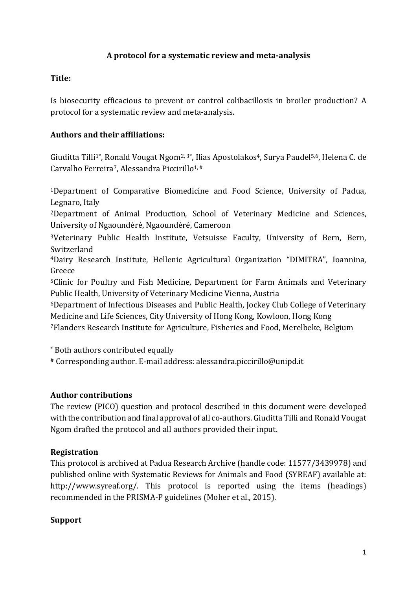### **A protocol for a systematic review and meta-analysis**

### **Title:**

Is biosecurity efficacious to prevent or control colibacillosis in broiler production? A protocol for a systematic review and meta-analysis.

### **Authors and their affiliations:**

Giuditta Tilli<sup>1\*</sup>, Ronald Vougat Ngom<sup>2, 3\*</sup>, Ilias Apostolakos<sup>4</sup>, Surya Paudel<sup>5,6</sup>, Helena C. de Carvalho Ferreira<sup>7</sup>, Alessandra Piccirillo<sup>1,#</sup>

<sup>1</sup>Department of Comparative Biomedicine and Food Science, University of Padua, Legnaro, Italy

<sup>2</sup>Department of Animal Production, School of Veterinary Medicine and Sciences, University of Ngaoundéré, Ngaoundéré, Cameroon

<sup>3</sup>Veterinary Public Health Institute, Vetsuisse Faculty, University of Bern, Bern, Switzerland

<sup>4</sup>Dairy Research Institute, Hellenic Agricultural Organization "DIMITRA", Ioannina, Greece

<sup>5</sup>Clinic for Poultry and Fish Medicine, Department for Farm Animals and Veterinary Public Health, University of Veterinary Medicine Vienna, Austria

<sup>6</sup>Department of Infectious Diseases and Public Health, Jockey Club College of Veterinary Medicine and Life Sciences, City University of Hong Kong, Kowloon, Hong Kong

<sup>7</sup>Flanders Research Institute for Agriculture, Fisheries and Food, Merelbeke, Belgium

\* Both authors contributed equally

# Corresponding author. E-mail address: alessandra.piccirillo@unipd.it

#### **Author contributions**

The review (PICO) question and protocol described in this document were developed with the contribution and final approval of all co-authors. Giuditta Tilli and Ronald Vougat Ngom drafted the protocol and all authors provided their input.

### **Registration**

This protocol is archived at Padua Research Archive (handle code: 11577/3439978) and published online with Systematic Reviews for Animals and Food (SYREAF) available at: http://www.syreaf.org/. This protocol is reported using the items (headings) recommended in the PRISMA-P guidelines (Moher et al., 2015).

#### **Support**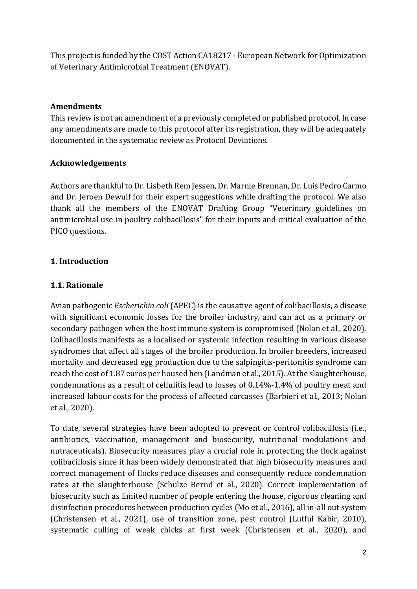This project is funded by the COST Action CA18217 - European Network for Optimization of Veterinary Antimicrobial Treatment (ENOVAT).

### **Amendments**

This review is not an amendment of a previously completed or published protocol. In case any amendments are made to this protocol after its registration, they will be adequately documented in the systematic review as Protocol Deviations.

#### **Acknowledgements**

Authors are thankful to Dr. Lisbeth Rem Jessen, Dr. Marnie Brennan, Dr. Luis Pedro Carmo and Dr. Jeroen Dewulf for their expert suggestions while drafting the protocol. We also thank all the members of the ENOVAT Drafting Group "Veterinary guidelines on antimicrobial use in poultry colibacillosis" for their inputs and critical evaluation of the PICO questions.

### **1. Introduction**

#### **1.1. Rationale**

Avian pathogenic *Escherichia coli* (APEC) is the causative agent of colibacillosis, a disease with significant economic losses for the broiler industry, and can act as a primary or secondary pathogen when the host immune system is compromised (Nolan et al., 2020). Colibacillosis manifests as a localised or systemic infection resulting in various disease syndromes that affect all stages of the broiler production. In broiler breeders, increased mortality and decreased egg production due to the salpingitis-peritonitis syndrome can reach the cost of 1.87 euros per housed hen (Landman et al., 2015). At the slaughterhouse, condemnations as a result of cellulitis lead to losses of 0.14%-1.4% of poultry meat and increased labour costs for the process of affected carcasses (Barbieri et al., 2013; Nolan et al., 2020).

To date, several strategies have been adopted to prevent or control colibacillosis (i.e., antibiotics, vaccination, management and biosecurity, nutritional modulations and nutraceuticals). Biosecurity measures play a crucial role in protecting the flock against colibacillosis since it has been widely demonstrated that high biosecurity measures and correct management of flocks reduce diseases and consequently reduce condemnation rates at the slaughterhouse (Schulze Bernd et al., 2020). Correct implementation of biosecurity such as limited number of people entering the house, rigorous cleaning and disinfection procedures between production cycles (Mo et al., 2016), all in-all out system (Christensen et al., 2021), use of transition zone, pest control (Lutful Kabir, 2010), systematic culling of weak chicks at first week (Christensen et al., 2020), and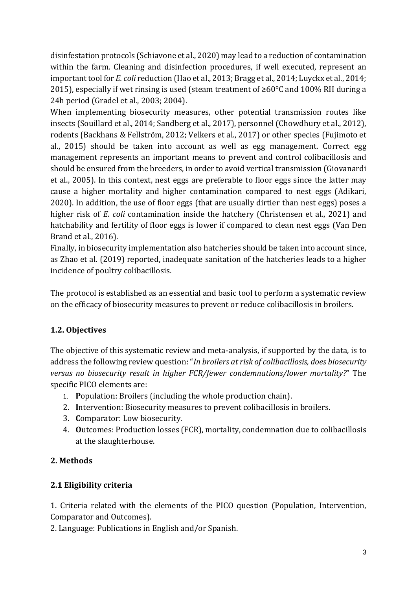disinfestation protocols (Schiavone et al., 2020) may lead to a reduction of contamination within the farm. Cleaning and disinfection procedures, if well executed, represent an important tool for *E. coli* reduction (Hao et al., 2013; Bragg et al., 2014; Luyckx et al., 2014; 2015), especially if wet rinsing is used (steam treatment of ≥60°C and 100% RH during a 24h period (Gradel et al., 2003; 2004).

When implementing biosecurity measures, other potential transmission routes like insects (Souillard et al., 2014; Sandberg et al., 2017), personnel (Chowdhury et al., 2012), rodents (Backhans & Fellström, 2012; Velkers et al., 2017) or other species (Fujimoto et al., 2015) should be taken into account as well as egg management. Correct egg management represents an important means to prevent and control colibacillosis and should be ensured from the breeders, in order to avoid vertical transmission (Giovanardi et al., 2005). In this context, nest eggs are preferable to floor eggs since the latter may cause a higher mortality and higher contamination compared to nest eggs (Adikari, 2020). In addition, the use of floor eggs (that are usually dirtier than nest eggs) poses a higher risk of *E. coli* contamination inside the hatchery (Christensen et al., 2021) and hatchability and fertility of floor eggs is lower if compared to clean nest eggs (Van Den Brand et al., 2016).

Finally, in biosecurity implementation also hatcheries should be taken into account since, as Zhao et al. (2019) reported, inadequate sanitation of the hatcheries leads to a higher incidence of poultry colibacillosis.

The protocol is established as an essential and basic tool to perform a systematic review on the efficacy of biosecurity measures to prevent or reduce colibacillosis in broilers.

# **1.2. Objectives**

The objective of this systematic review and meta-analysis, if supported by the data, is to address the following review question: "*In broilers at risk of colibacillosis, does biosecurity versus no biosecurity result in higher FCR/fewer condemnations/lower mortality?*" The specific PICO elements are:

- 1. **P**opulation: Broilers (including the whole production chain).
- 2. **I**ntervention: Biosecurity measures to prevent colibacillosis in broilers.
- 3. **C**omparator: Low biosecurity.
- 4. **O**utcomes: Production losses (FCR), mortality, condemnation due to colibacillosis at the slaughterhouse.

# **2. Methods**

# **2.1 Eligibility criteria**

1. Criteria related with the elements of the PICO question (Population, Intervention, Comparator and Outcomes).

2. Language: Publications in English and/or Spanish.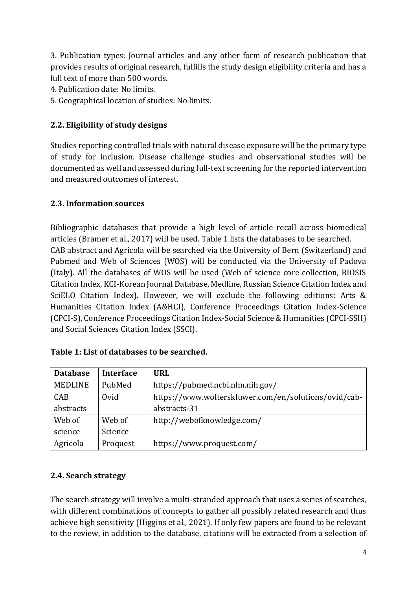3. Publication types: Journal articles and any other form of research publication that provides results of original research, fulfills the study design eligibility criteria and has a full text of more than 500 words.

- 4. Publication date: No limits.
- 5. Geographical location of studies: No limits.

## **2.2. Eligibility of study designs**

Studies reporting controlled trials with natural disease exposure will be the primary type of study for inclusion. Disease challenge studies and observational studies will be documented as well and assessed during full-text screening for the reported intervention and measured outcomes of interest.

## **2.3. Information sources**

Bibliographic databases that provide a high level of article recall across biomedical articles (Bramer et al., 2017) will be used. Table 1 lists the databases to be searched. CAB abstract and Agricola will be searched via the University of Bern (Switzerland) and Pubmed and Web of Sciences (WOS) will be conducted via the University of Padova (Italy). All the databases of WOS will be used (Web of science core collection, BIOSIS Citation Index, KCI-Korean Journal Database, Medline, Russian Science Citation Index and SciELO Citation Index). However, we will exclude the following editions: Arts & Humanities Citation Index (A&HCI), Conference Proceedings Citation Index-Science (CPCI-S), Conference Proceedings Citation Index-Social Science & Humanities (CPCI-SSH) and Social Sciences Citation Index (SSCI).

| <b>Database</b> | <b>Interface</b> | <b>URL</b>                                           |
|-----------------|------------------|------------------------------------------------------|
| MEDLINE         | PubMed           | https://pubmed.ncbi.nlm.nih.gov/                     |
| CAB             | Ovid             | https://www.wolterskluwer.com/en/solutions/ovid/cab- |
| abstracts       |                  | abstracts-31                                         |
| Web of          | Web of           | http://webofknowledge.com/                           |
| science         | Science          |                                                      |
| Agricola        | Proquest         | https://www.proquest.com/                            |

#### **Table 1: List of databases to be searched.**

#### **2.4. Search strategy**

The search strategy will involve a multi-stranded approach that uses a series of searches, with different combinations of concepts to gather all possibly related research and thus achieve high sensitivity (Higgins et al., 2021). If only few papers are found to be relevant to the review, in addition to the database, citations will be extracted from a selection of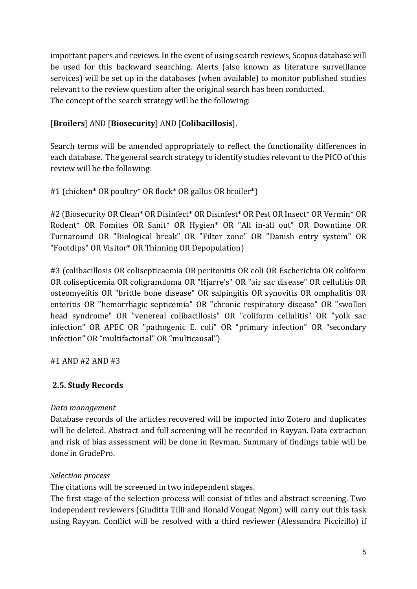important papers and reviews. In the event of using search reviews, Scopus database will be used for this backward searching. Alerts (also known as literature surveillance services) will be set up in the databases (when available) to monitor published studies relevant to the review question after the original search has been conducted. The concept of the search strategy will be the following:

# [**Broilers**] AND [**Biosecurity**] AND [**Colibacillosis**].

Search terms will be amended appropriately to reflect the functionality differences in each database. The general search strategy to identify studies relevant to the PICO of this review will be the following:

#1 (chicken\* OR poultry\* OR flock\* OR gallus OR broiler\*)

#2 (Biosecurity OR Clean\* OR Disinfect\* OR Disinfest\* OR Pest OR Insect\* OR Vermin\* OR Rodent\* OR Fomites OR Sanit\* OR Hygien\* OR "All in-all out" OR Downtime OR Turnaround OR "Biological break" OR "Filter zone" OR "Danish entry system" OR "Footdips" OR Visitor\* OR Thinning OR Depopulation)

#3 (colibacillosis OR colisepticaemia OR peritonitis OR coli OR Escherichia OR coliform OR colisepticemia OR coligranuloma OR "Hjarre's" OR "air sac disease" OR cellulitis OR osteomyelitis OR "brittle bone disease" OR salpingitis OR synovitis OR omphalitis OR enteritis OR "hemorrhagic septicemia" OR "chronic respiratory disease" OR "swollen head syndrome" OR "venereal colibacillosis" OR "coliform cellulitis" OR "yolk sac infection" OR APEC OR "pathogenic E. coli" OR "primary infection" OR "secondary infection" OR "multifactorial" OR "multicausal")

#1 AND #2 AND #3

# **2.5. Study Records**

### *Data management*

Database records of the articles recovered will be imported into Zotero and duplicates will be deleted. Abstract and full screening will be recorded in Rayyan. Data extraction and risk of bias assessment will be done in Revman. Summary of findings table will be done in GradePro.

### *Selection process*

The citations will be screened in two independent stages.

The first stage of the selection process will consist of titles and abstract screening. Two independent reviewers (Giuditta Tilli and Ronald Vougat Ngom) will carry out this task using Rayyan. Conflict will be resolved with a third reviewer (Alessandra Piccirillo) if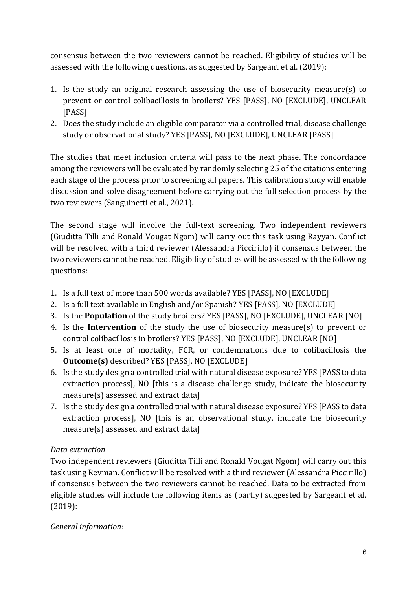consensus between the two reviewers cannot be reached. Eligibility of studies will be assessed with the following questions, as suggested by Sargeant et al. (2019):

- 1. Is the study an original research assessing the use of biosecurity measure(s) to prevent or control colibacillosis in broilers? YES [PASS], NO [EXCLUDE], UNCLEAR [PASS]
- 2. Does the study include an eligible comparator via a controlled trial, disease challenge study or observational study? YES [PASS], NO [EXCLUDE], UNCLEAR [PASS]

The studies that meet inclusion criteria will pass to the next phase. The concordance among the reviewers will be evaluated by randomly selecting 25 of the citations entering each stage of the process prior to screening all papers. This calibration study will enable discussion and solve disagreement before carrying out the full selection process by the two reviewers (Sanguinetti et al., 2021).

The second stage will involve the full-text screening. Two independent reviewers (Giuditta Tilli and Ronald Vougat Ngom) will carry out this task using Rayyan. Conflict will be resolved with a third reviewer (Alessandra Piccirillo) if consensus between the two reviewers cannot be reached. Eligibility of studies will be assessed with the following questions:

- 1. Is a full text of more than 500 words available? YES [PASS], NO [EXCLUDE]
- 2. Is a full text available in English and/or Spanish? YES [PASS], NO [EXCLUDE]
- 3. Is the **Population** of the study broilers? YES [PASS], NO [EXCLUDE], UNCLEAR [NO]
- 4. Is the **Intervention** of the study the use of biosecurity measure(s) to prevent or control colibacillosis in broilers? YES [PASS], NO [EXCLUDE], UNCLEAR [NO]
- 5. Is at least one of mortality, FCR, or condemnations due to colibacillosis the **Outcome(s)** described? YES [PASS], NO [EXCLUDE]
- 6. Is the study design a controlled trial with natural disease exposure? YES [PASS to data extraction process], NO [this is a disease challenge study, indicate the biosecurity measure(s) assessed and extract data]
- 7. Is the study design a controlled trial with natural disease exposure? YES [PASS to data extraction process], NO [this is an observational study, indicate the biosecurity measure(s) assessed and extract data]

# *Data extraction*

Two independent reviewers (Giuditta Tilli and Ronald Vougat Ngom) will carry out this task using Revman. Conflict will be resolved with a third reviewer (Alessandra Piccirillo) if consensus between the two reviewers cannot be reached. Data to be extracted from eligible studies will include the following items as (partly) suggested by Sargeant et al. (2019):

*General information:*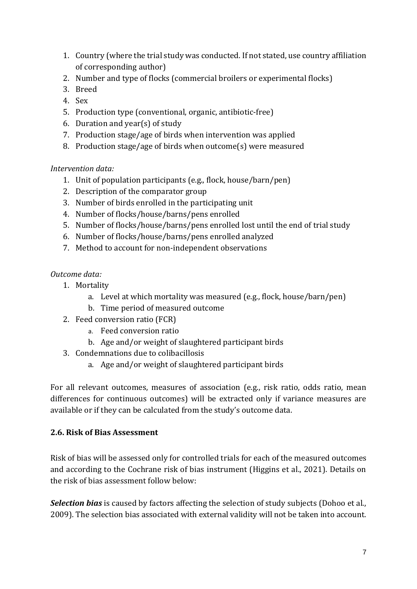- 1. Country (where the trial study was conducted. If not stated, use country affiliation of corresponding author)
- 2. Number and type of flocks (commercial broilers or experimental flocks)
- 3. Breed
- 4. Sex
- 5. Production type (conventional, organic, antibiotic-free)
- 6. Duration and year(s) of study
- 7. Production stage/age of birds when intervention was applied
- 8. Production stage/age of birds when outcome(s) were measured

### *Intervention data:*

- 1. Unit of population participants (e.g., flock, house/barn/pen)
- 2. Description of the comparator group
- 3. Number of birds enrolled in the participating unit
- 4. Number of flocks/house/barns/pens enrolled
- 5. Number of flocks/house/barns/pens enrolled lost until the end of trial study
- 6. Number of flocks/house/barns/pens enrolled analyzed
- 7. Method to account for non-independent observations

## *Outcome data:*

- 1. Mortality
	- a. Level at which mortality was measured (e.g., flock, house/barn/pen)
	- b. Time period of measured outcome
- 2. Feed conversion ratio (FCR)
	- a. Feed conversion ratio
	- b. Age and/or weight of slaughtered participant birds
- 3. Condemnations due to colibacillosis
	- a. Age and/or weight of slaughtered participant birds

For all relevant outcomes, measures of association (e.g., risk ratio, odds ratio, mean differences for continuous outcomes) will be extracted only if variance measures are available or if they can be calculated from the study's outcome data.

### **2.6. Risk of Bias Assessment**

Risk of bias will be assessed only for controlled trials for each of the measured outcomes and according to the Cochrane risk of bias instrument (Higgins et al., 2021). Details on the risk of bias assessment follow below:

*Selection bias* is caused by factors affecting the selection of study subjects (Dohoo et al., 2009). The selection bias associated with external validity will not be taken into account.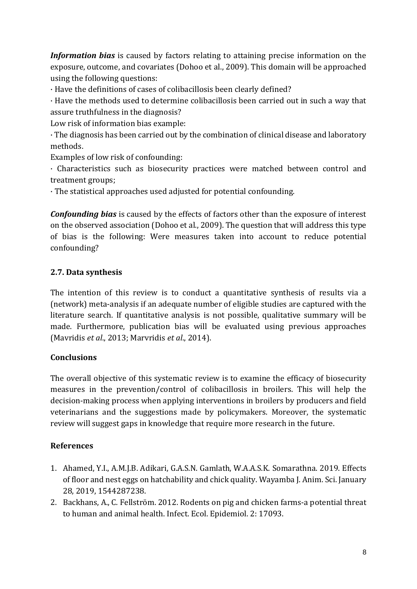*Information bias* is caused by factors relating to attaining precise information on the exposure, outcome, and covariates (Dohoo et al., 2009). This domain will be approached using the following questions:

· Have the definitions of cases of colibacillosis been clearly defined?

· Have the methods used to determine colibacillosis been carried out in such a way that assure truthfulness in the diagnosis?

Low risk of information bias example:

· The diagnosis has been carried out by the combination of clinical disease and laboratory methods.

Examples of low risk of confounding:

· Characteristics such as biosecurity practices were matched between control and treatment groups;

· The statistical approaches used adjusted for potential confounding.

*Confounding bias* is caused by the effects of factors other than the exposure of interest on the observed association (Dohoo et al., 2009). The question that will address this type of bias is the following: Were measures taken into account to reduce potential confounding?

## **2.7. Data synthesis**

The intention of this review is to conduct a quantitative synthesis of results via a (network) meta-analysis if an adequate number of eligible studies are captured with the literature search. If quantitative analysis is not possible, qualitative summary will be made. Furthermore, publication bias will be evaluated using previous approaches (Mavridis *et al*., 2013; Marvridis *et al*., 2014).

# **Conclusions**

The overall objective of this systematic review is to examine the efficacy of biosecurity measures in the prevention/control of colibacillosis in broilers. This will help the decision-making process when applying interventions in broilers by producers and field veterinarians and the suggestions made by policymakers. Moreover, the systematic review will suggest gaps in knowledge that require more research in the future.

### **References**

- 1. Ahamed, Y.I., A.M.J.B. Adikari, G.A.S.N. Gamlath, W.A.A.S.K. Somarathna. 2019. Effects of floor and nest eggs on hatchability and chick quality. Wayamba J. Anim. Sci. January 28, 2019, 1544287238.
- 2. Backhans, A., C. Fellström. 2012. Rodents on pig and chicken farms-a potential threat to human and animal health. Infect. Ecol. Epidemiol. 2: 17093.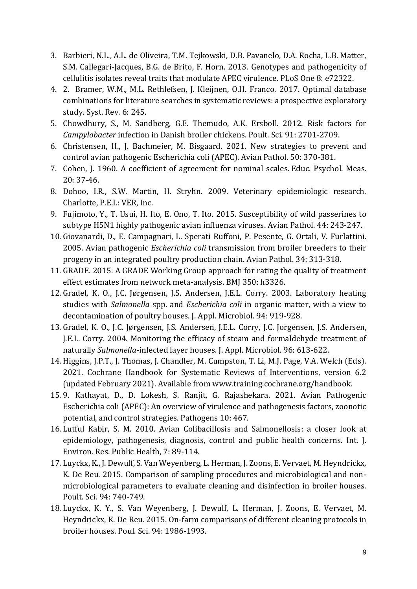- 3. Barbieri, N.L., A.L. de Oliveira, T.M. Tejkowski, D.B. Pavanelo, D.A. Rocha, L.B. Matter, S.M. Callegari-Jacques, B.G. de Brito, F. Horn. 2013. Genotypes and pathogenicity of cellulitis isolates reveal traits that modulate APEC virulence. PLoS One 8: e72322.
- 4. 2. Bramer, W.M., M.L. Rethlefsen, J. Kleijnen, O.H. Franco. 2017. Optimal database combinations for literature searches in systematic reviews: a prospective exploratory study. Syst. Rev. 6: 245.
- 5. Chowdhury, S., M. Sandberg, G.E. Themudo, A.K. Ersboll. 2012. Risk factors for *Campylobacter* infection in Danish broiler chickens. Poult. Sci. 91: 2701-2709.
- 6. Christensen, H., J. Bachmeier, M. Bisgaard. 2021. New strategies to prevent and control avian pathogenic Escherichia coli (APEC). Avian Pathol. 50: 370-381.
- 7. Cohen, J. 1960. A coefficient of agreement for nominal scales. Educ. Psychol. Meas. 20: 37-46.
- 8. Dohoo, I.R., S.W. Martin, H. Stryhn. 2009. Veterinary epidemiologic research. Charlotte, P.E.I.: VER, Inc.
- 9. Fujimoto, Y., T. Usui, H. Ito, E. Ono, T. Ito. 2015. Susceptibility of wild passerines to subtype H5N1 highly pathogenic avian influenza viruses. Avian Pathol. 44: 243-247.
- 10. Giovanardi, D., E. Campagnari, L. Sperati Ruffoni, P. Pesente, G. Ortali, V. Furlattini. 2005. Avian pathogenic *Escherichia coli* transmission from broiler breeders to their progeny in an integrated poultry production chain. Avian Pathol. 34: 313-318.
- 11. GRADE. 2015. A GRADE Working Group approach for rating the quality of treatment effect estimates from network meta-analysis. BMJ 350: h3326.
- 12. Gradel, K. O., J.C. Jørgensen, J.S. Andersen, J.E.L. Corry. 2003. Laboratory heating studies with *Salmonella* spp. and *Escherichia coli* in organic matter, with a view to decontamination of poultry houses. J. Appl. Microbiol. 94: 919-928.
- 13. Gradel, K. O., J.C. Jørgensen, J.S. Andersen, J.E.L. Corry, J.C. Jorgensen, J.S. Andersen, J.E.L. Corry. 2004. Monitoring the efficacy of steam and formaldehyde treatment of naturally *Salmonella*-infected layer houses. J. Appl. Microbiol. 96: 613-622.
- 14. Higgins, J.P.T., J. Thomas, J. Chandler, M. Cumpston, T. Li, M.J. Page, V.A. Welch (Eds). 2021. Cochrane Handbook for Systematic Reviews of Interventions, version 6.2 (updated February 2021). Available from www.training.cochrane.org/handbook.
- 15. 9. Kathayat, D., D. Lokesh, S. Ranjit, G. Rajashekara. 2021. Avian Pathogenic Escherichia coli (APEC): An overview of virulence and pathogenesis factors, zoonotic potential, and control strategies. Pathogens 10: 467.
- 16. Lutful Kabir, S. M. 2010. Avian Colibacillosis and Salmonellosis: a closer look at epidemiology, pathogenesis, diagnosis, control and public health concerns. Int. J. Environ. Res. Public Health, 7: 89-114.
- 17. Luyckx, K., J. Dewulf, S. Van Weyenberg, L. Herman, J. Zoons, E. Vervaet, M. Heyndrickx, K. De Reu. 2015. Comparison of sampling procedures and microbiological and nonmicrobiological parameters to evaluate cleaning and disinfection in broiler houses. Poult. Sci. 94: 740-749.
- 18. Luyckx, K. Y., S. Van Weyenberg, J. Dewulf, L. Herman, J. Zoons, E. Vervaet, M. Heyndrickx, K. De Reu. 2015. On-farm comparisons of different cleaning protocols in broiler houses. Poul. Sci. 94: 1986-1993.